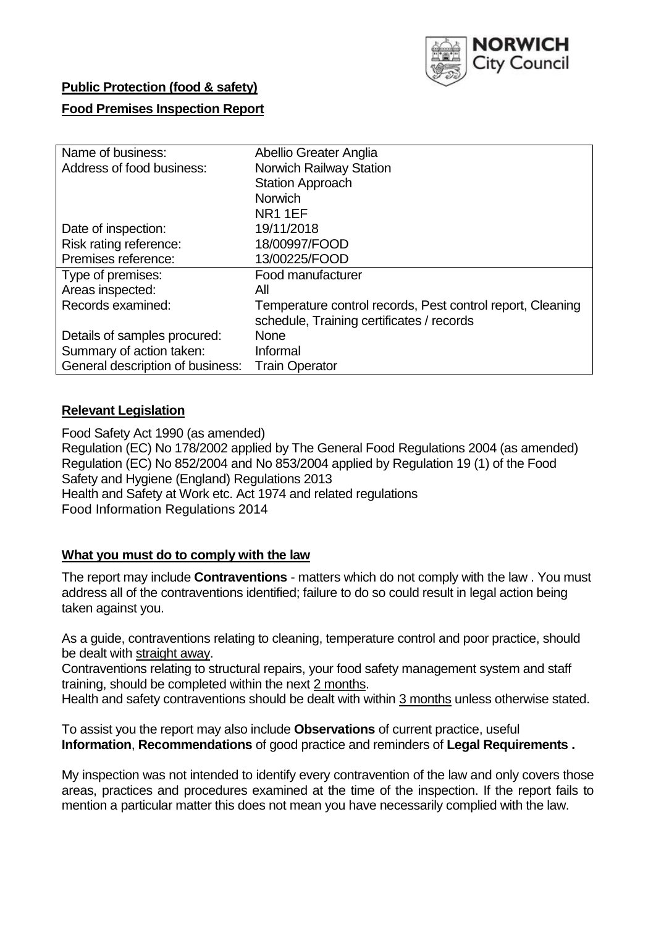

## **Public Protection (food & safety)**

## **Food Premises Inspection Report**

| Name of business:                | Abellio Greater Anglia                                     |  |  |  |  |
|----------------------------------|------------------------------------------------------------|--|--|--|--|
| Address of food business:        | <b>Norwich Railway Station</b>                             |  |  |  |  |
|                                  | <b>Station Approach</b>                                    |  |  |  |  |
|                                  | <b>Norwich</b>                                             |  |  |  |  |
|                                  | <b>NR11EF</b>                                              |  |  |  |  |
| Date of inspection:              | 19/11/2018                                                 |  |  |  |  |
| Risk rating reference:           | 18/00997/FOOD                                              |  |  |  |  |
| Premises reference:              | 13/00225/FOOD                                              |  |  |  |  |
| Type of premises:                | Food manufacturer                                          |  |  |  |  |
| Areas inspected:                 | All                                                        |  |  |  |  |
| Records examined:                | Temperature control records, Pest control report, Cleaning |  |  |  |  |
|                                  | schedule, Training certificates / records                  |  |  |  |  |
| Details of samples procured:     | <b>None</b>                                                |  |  |  |  |
| Summary of action taken:         | Informal                                                   |  |  |  |  |
| General description of business: | <b>Train Operator</b>                                      |  |  |  |  |

## **Relevant Legislation**

Food Safety Act 1990 (as amended) Regulation (EC) No 178/2002 applied by The General Food Regulations 2004 (as amended) Regulation (EC) No 852/2004 and No 853/2004 applied by Regulation 19 (1) of the Food Safety and Hygiene (England) Regulations 2013 Health and Safety at Work etc. Act 1974 and related regulations Food Information Regulations 2014

### **What you must do to comply with the law**

The report may include **Contraventions** - matters which do not comply with the law . You must address all of the contraventions identified; failure to do so could result in legal action being taken against you.

As a guide, contraventions relating to cleaning, temperature control and poor practice, should be dealt with straight away.

Contraventions relating to structural repairs, your food safety management system and staff training, should be completed within the next 2 months.

Health and safety contraventions should be dealt with within 3 months unless otherwise stated.

To assist you the report may also include **Observations** of current practice, useful **Information**, **Recommendations** of good practice and reminders of **Legal Requirements .**

My inspection was not intended to identify every contravention of the law and only covers those areas, practices and procedures examined at the time of the inspection. If the report fails to mention a particular matter this does not mean you have necessarily complied with the law.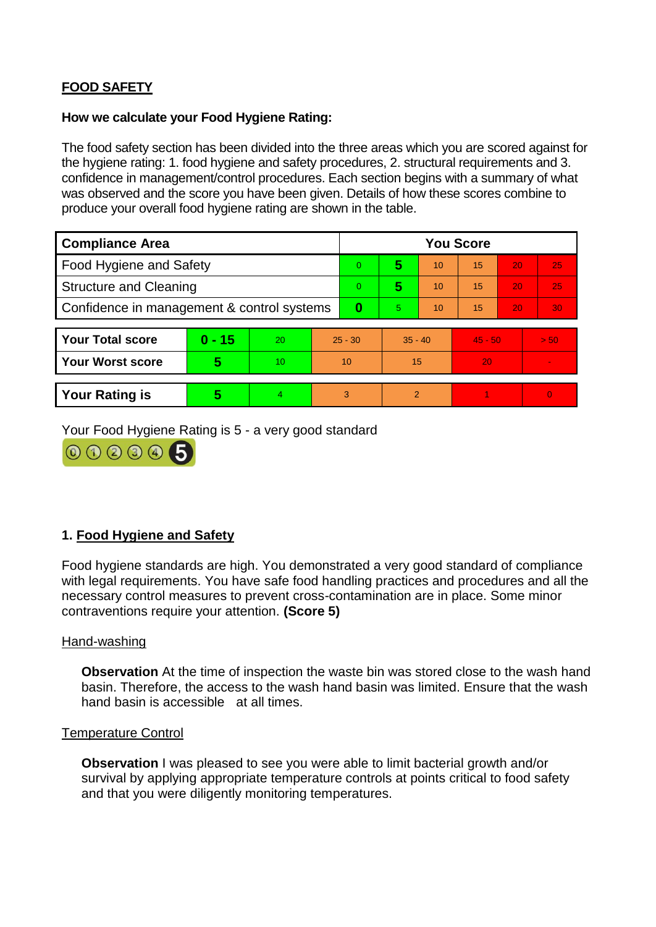# **FOOD SAFETY**

### **How we calculate your Food Hygiene Rating:**

The food safety section has been divided into the three areas which you are scored against for the hygiene rating: 1. food hygiene and safety procedures, 2. structural requirements and 3. confidence in management/control procedures. Each section begins with a summary of what was observed and the score you have been given. Details of how these scores combine to produce your overall food hygiene rating are shown in the table.

| <b>Compliance Area</b>                     |          |    |                | <b>You Score</b> |                |    |           |    |                |  |  |
|--------------------------------------------|----------|----|----------------|------------------|----------------|----|-----------|----|----------------|--|--|
| Food Hygiene and Safety                    |          |    |                | $\Omega$         | 5              | 10 | 15        | 20 | 25             |  |  |
| <b>Structure and Cleaning</b>              |          |    | $\overline{0}$ | 5                | 10             | 15 | 20        | 25 |                |  |  |
| Confidence in management & control systems |          |    | 0              | 5                | 10             | 15 | 20        | 30 |                |  |  |
|                                            |          |    |                |                  |                |    |           |    |                |  |  |
| <b>Your Total score</b>                    | $0 - 15$ | 20 | $25 - 30$      |                  | $35 - 40$      |    | $45 - 50$ |    | > 50           |  |  |
| <b>Your Worst score</b>                    | 5        | 10 | 10             |                  | 15             |    | 20        |    | $\blacksquare$ |  |  |
|                                            |          |    |                |                  |                |    |           |    |                |  |  |
| <b>Your Rating is</b>                      | 5        | 4  | 3              |                  | $\overline{2}$ |    |           |    | $\Omega$       |  |  |

Your Food Hygiene Rating is 5 - a very good standard



# **1. Food Hygiene and Safety**

Food hygiene standards are high. You demonstrated a very good standard of compliance with legal requirements. You have safe food handling practices and procedures and all the necessary control measures to prevent cross-contamination are in place. Some minor contraventions require your attention. **(Score 5)**

#### Hand-washing

**Observation** At the time of inspection the waste bin was stored close to the wash hand basin. Therefore, the access to the wash hand basin was limited. Ensure that the wash hand basin is accessible at all times.

#### Temperature Control

**Observation** I was pleased to see you were able to limit bacterial growth and/or survival by applying appropriate temperature controls at points critical to food safety and that you were diligently monitoring temperatures.